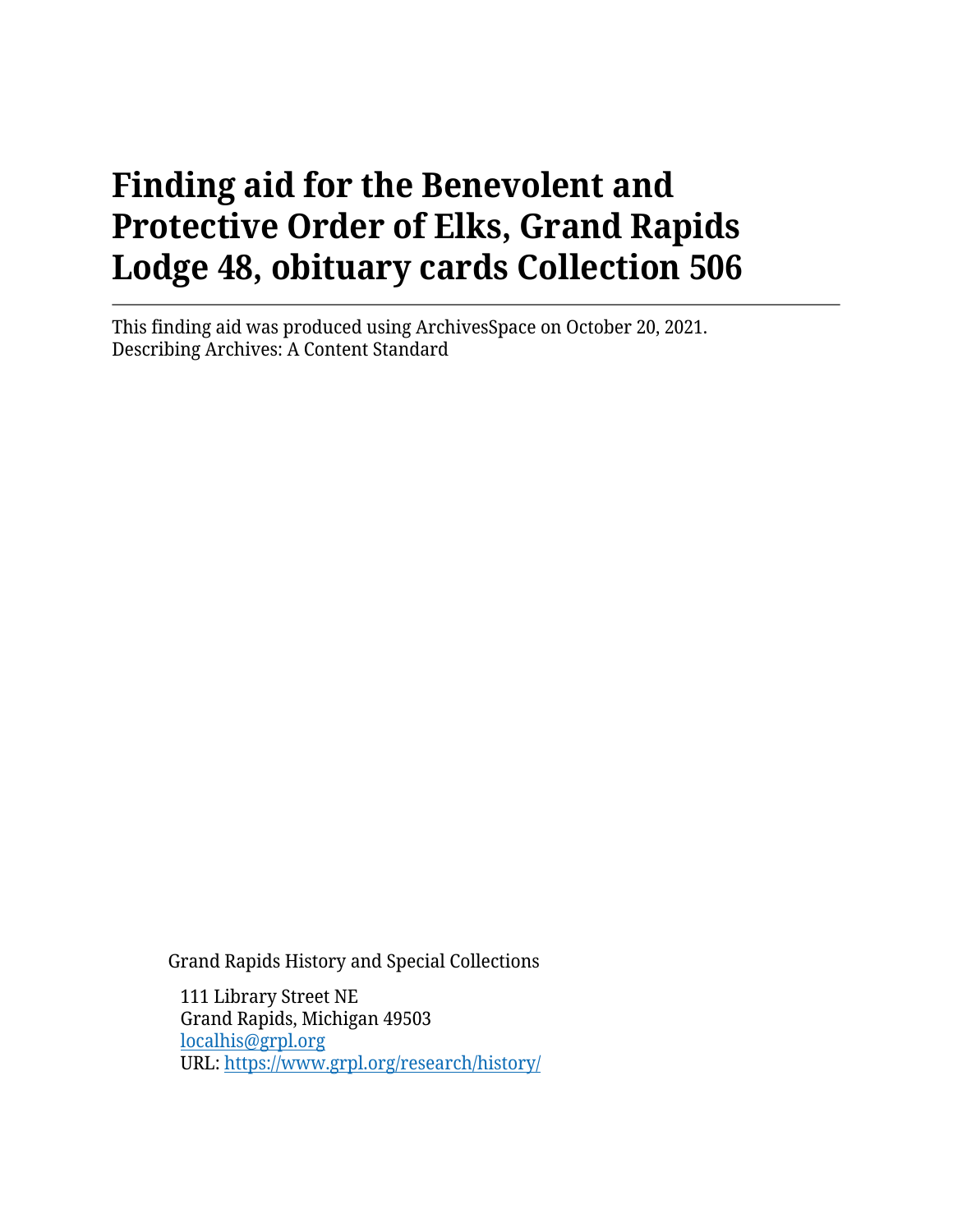This finding aid was produced using ArchivesSpace on October 20, 2021. Describing Archives: A Content Standard

Grand Rapids History and Special Collections

111 Library Street NE Grand Rapids, Michigan 49503 [localhis@grpl.org](mailto:localhis@grpl.org) URL:<https://www.grpl.org/research/history/>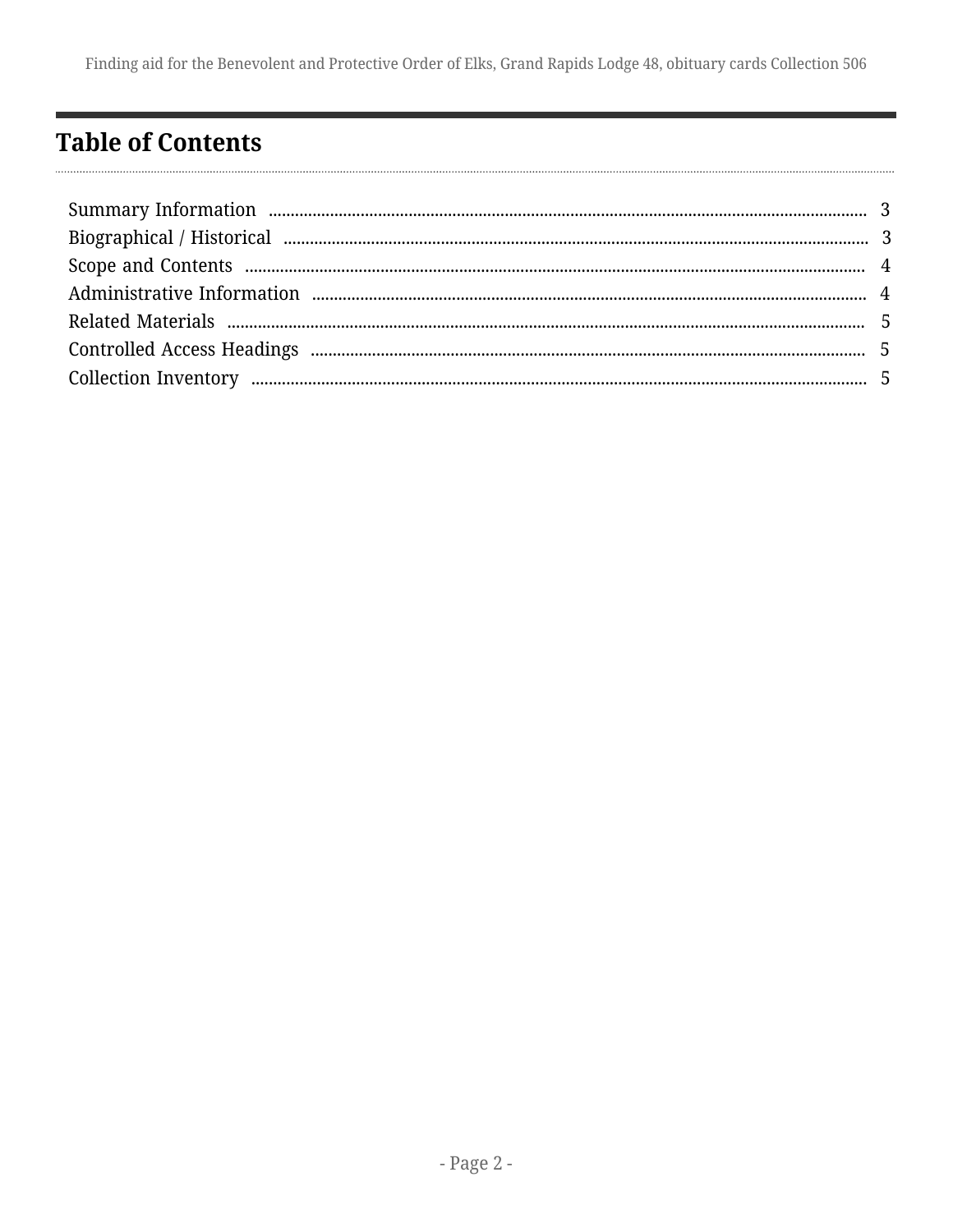# <span id="page-1-0"></span>**Table of Contents**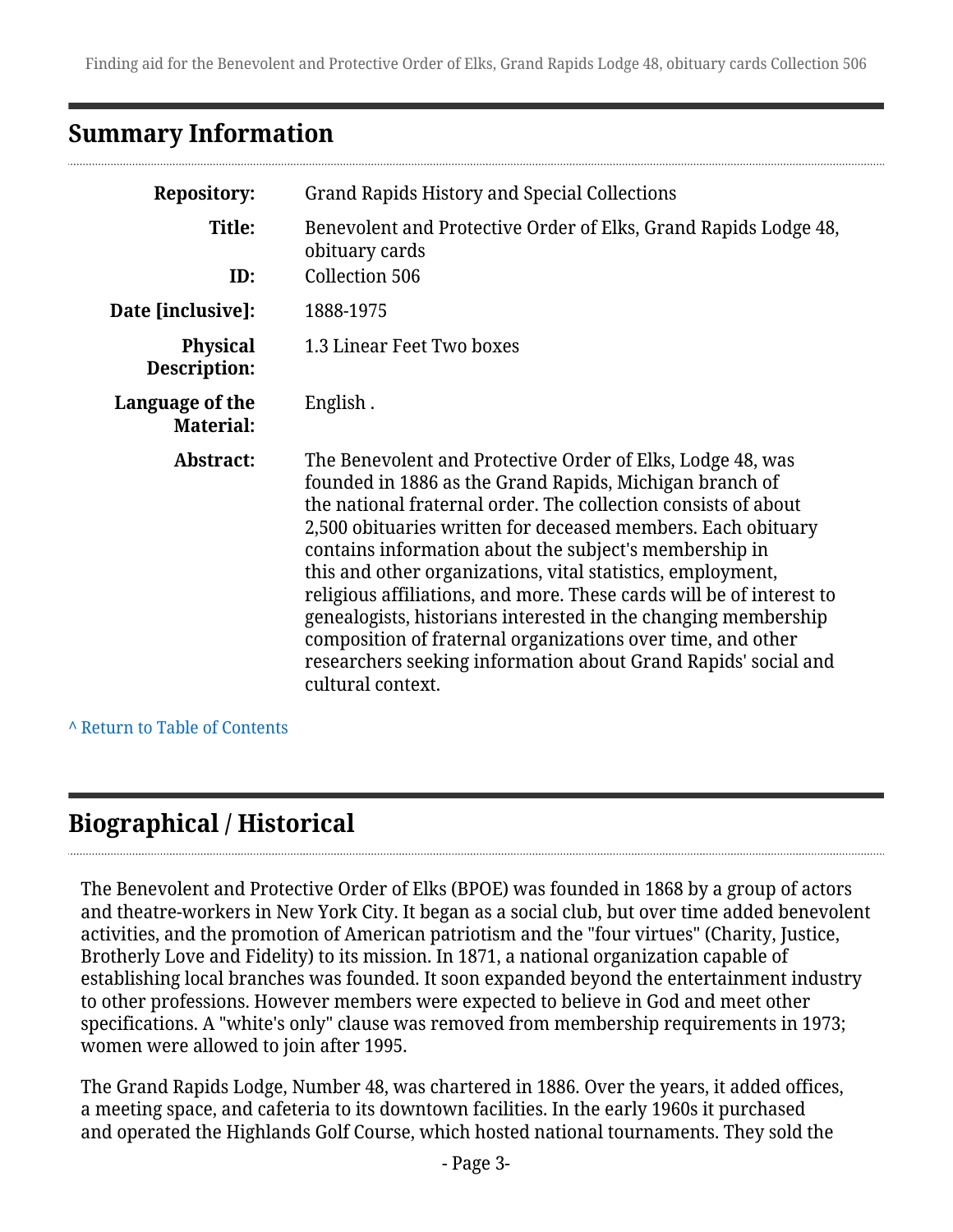### <span id="page-2-0"></span>**Summary Information**

| <b>Repository:</b>                  | Grand Rapids History and Special Collections                                                                                                                                                                                                                                                                                                                                                                                                                                                                                                                                                                                                                                     |
|-------------------------------------|----------------------------------------------------------------------------------------------------------------------------------------------------------------------------------------------------------------------------------------------------------------------------------------------------------------------------------------------------------------------------------------------------------------------------------------------------------------------------------------------------------------------------------------------------------------------------------------------------------------------------------------------------------------------------------|
| Title:<br>ID:                       | Benevolent and Protective Order of Elks, Grand Rapids Lodge 48,<br>obituary cards<br>Collection 506                                                                                                                                                                                                                                                                                                                                                                                                                                                                                                                                                                              |
| Date [inclusive]:                   | 1888-1975                                                                                                                                                                                                                                                                                                                                                                                                                                                                                                                                                                                                                                                                        |
| <b>Physical</b><br>Description:     | 1.3 Linear Feet Two boxes                                                                                                                                                                                                                                                                                                                                                                                                                                                                                                                                                                                                                                                        |
| Language of the<br><b>Material:</b> | English.                                                                                                                                                                                                                                                                                                                                                                                                                                                                                                                                                                                                                                                                         |
| Abstract:                           | The Benevolent and Protective Order of Elks, Lodge 48, was<br>founded in 1886 as the Grand Rapids, Michigan branch of<br>the national fraternal order. The collection consists of about<br>2,500 obituaries written for deceased members. Each obituary<br>contains information about the subject's membership in<br>this and other organizations, vital statistics, employment,<br>religious affiliations, and more. These cards will be of interest to<br>genealogists, historians interested in the changing membership<br>composition of fraternal organizations over time, and other<br>researchers seeking information about Grand Rapids' social and<br>cultural context. |

**^** [Return to Table of Contents](#page-1-0)

# <span id="page-2-1"></span>**Biographical / Historical**

The Benevolent and Protective Order of Elks (BPOE) was founded in 1868 by a group of actors and theatre-workers in New York City. It began as a social club, but over time added benevolent activities, and the promotion of American patriotism and the "four virtues" (Charity, Justice, Brotherly Love and Fidelity) to its mission. In 1871, a national organization capable of establishing local branches was founded. It soon expanded beyond the entertainment industry to other professions. However members were expected to believe in God and meet other specifications. A "white's only" clause was removed from membership requirements in 1973; women were allowed to join after 1995.

The Grand Rapids Lodge, Number 48, was chartered in 1886. Over the years, it added offices, a meeting space, and cafeteria to its downtown facilities. In the early 1960s it purchased and operated the Highlands Golf Course, which hosted national tournaments. They sold the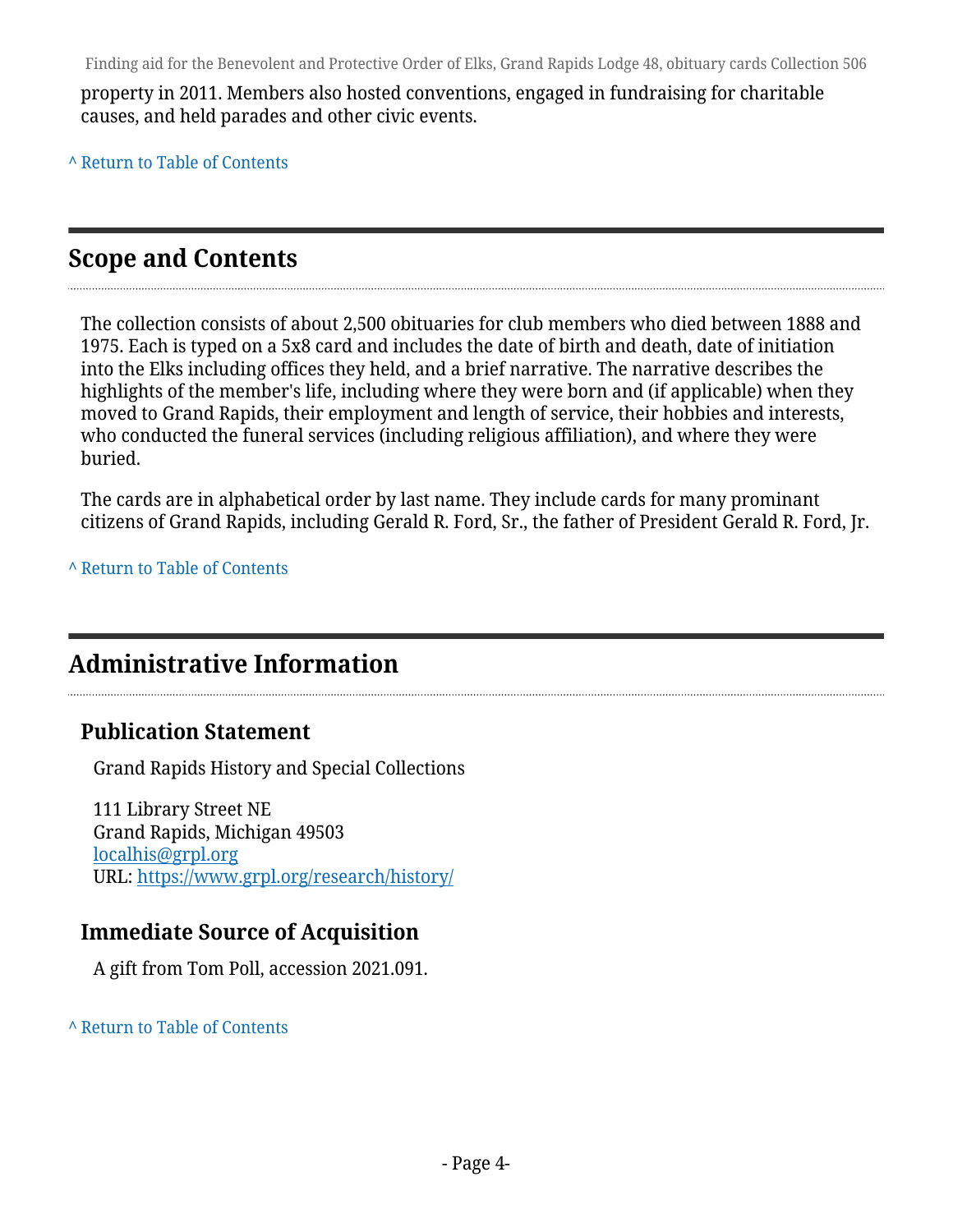property in 2011. Members also hosted conventions, engaged in fundraising for charitable causes, and held parades and other civic events.

**^** [Return to Table of Contents](#page-1-0)

### <span id="page-3-0"></span>**Scope and Contents**

The collection consists of about 2,500 obituaries for club members who died between 1888 and 1975. Each is typed on a 5x8 card and includes the date of birth and death, date of initiation into the Elks including offices they held, and a brief narrative. The narrative describes the highlights of the member's life, including where they were born and (if applicable) when they moved to Grand Rapids, their employment and length of service, their hobbies and interests, who conducted the funeral services (including religious affiliation), and where they were buried.

The cards are in alphabetical order by last name. They include cards for many prominant citizens of Grand Rapids, including Gerald R. Ford, Sr., the father of President Gerald R. Ford, Jr.

**^** [Return to Table of Contents](#page-1-0)

### <span id="page-3-1"></span>**Administrative Information**

#### **Publication Statement**

Grand Rapids History and Special Collections

111 Library Street NE Grand Rapids, Michigan 49503 [localhis@grpl.org](mailto:localhis@grpl.org) URL:<https://www.grpl.org/research/history/>

#### **Immediate Source of Acquisition**

A gift from Tom Poll, accession 2021.091.

#### **^** [Return to Table of Contents](#page-1-0)